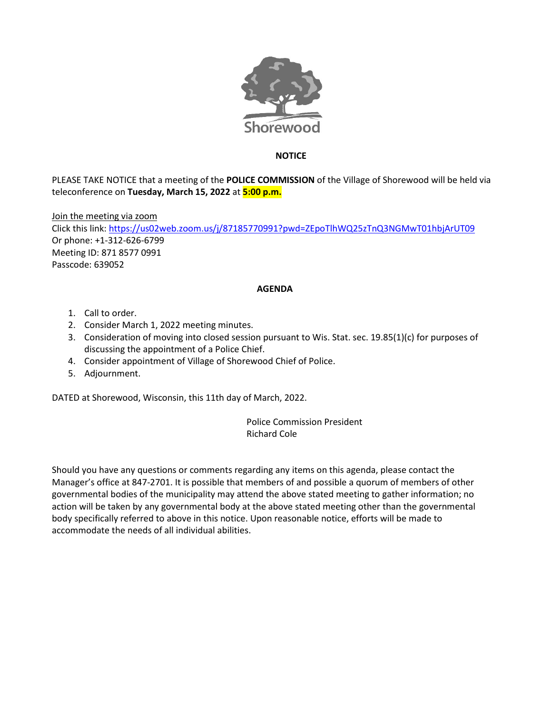

## **NOTICE**

PLEASE TAKE NOTICE that a meeting of the **POLICE COMMISSION** of the Village of Shorewood will be held via teleconference on **Tuesday, March 15, 2022** at **5:00 p.m.**

Join the meeting via zoom

Click this link[: https://us02web.zoom.us/j/87185770991?pwd=ZEpoTlhWQ25zTnQ3NGMwT01hbjArUT09](https://us02web.zoom.us/j/87185770991?pwd=ZEpoTlhWQ25zTnQ3NGMwT01hbjArUT09) Or phone: +1-312-626-6799 Meeting ID: 871 8577 0991 Passcode: 639052

## **AGENDA**

- 1. Call to order.
- 2. Consider March 1, 2022 meeting minutes.
- 3. Consideration of moving into closed session pursuant to Wis. Stat. sec. 19.85(1)(c) for purposes of discussing the appointment of a Police Chief.
- 4. Consider appointment of Village of Shorewood Chief of Police.
- 5. Adjournment.

DATED at Shorewood, Wisconsin, this 11th day of March, 2022.

Police Commission President Richard Cole

Should you have any questions or comments regarding any items on this agenda, please contact the Manager's office at 847-2701. It is possible that members of and possible a quorum of members of other governmental bodies of the municipality may attend the above stated meeting to gather information; no action will be taken by any governmental body at the above stated meeting other than the governmental body specifically referred to above in this notice. Upon reasonable notice, efforts will be made to accommodate the needs of all individual abilities.